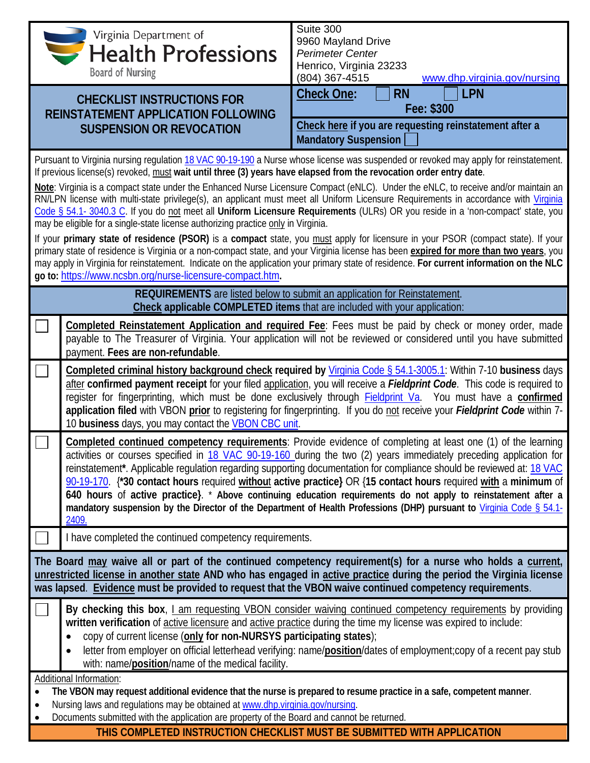|                                                                                                                                                                                                                                |                                                                                                                                                                                                                                            | Suite 300                                                                                                                                                                                                                                                                 |  |  |  |
|--------------------------------------------------------------------------------------------------------------------------------------------------------------------------------------------------------------------------------|--------------------------------------------------------------------------------------------------------------------------------------------------------------------------------------------------------------------------------------------|---------------------------------------------------------------------------------------------------------------------------------------------------------------------------------------------------------------------------------------------------------------------------|--|--|--|
| <i><b>SALAREL STARK Virginia Department of</b></i> Circuit Apple States Virginia Department of                                                                                                                                 |                                                                                                                                                                                                                                            | 9960 Mayland Drive                                                                                                                                                                                                                                                        |  |  |  |
|                                                                                                                                                                                                                                |                                                                                                                                                                                                                                            | <b>Perimeter Center</b>                                                                                                                                                                                                                                                   |  |  |  |
| <b>Board of Nursing</b>                                                                                                                                                                                                        |                                                                                                                                                                                                                                            | Henrico, Virginia 23233                                                                                                                                                                                                                                                   |  |  |  |
|                                                                                                                                                                                                                                |                                                                                                                                                                                                                                            | (804) 367-4515<br>www.dhp.virginia.gov/nursing                                                                                                                                                                                                                            |  |  |  |
| <b>CHECKLIST INSTRUCTIONS FOR</b>                                                                                                                                                                                              |                                                                                                                                                                                                                                            | <b>RN</b><br><b>LPN</b><br><b>Check One:</b>                                                                                                                                                                                                                              |  |  |  |
|                                                                                                                                                                                                                                | <b>REINSTATEMENT APPLICATION FOLLOWING</b>                                                                                                                                                                                                 | Fee: \$300                                                                                                                                                                                                                                                                |  |  |  |
|                                                                                                                                                                                                                                | <b>SUSPENSION OR REVOCATION</b>                                                                                                                                                                                                            | Check here if you are requesting reinstatement after a                                                                                                                                                                                                                    |  |  |  |
|                                                                                                                                                                                                                                |                                                                                                                                                                                                                                            | <b>Mandatory Suspension</b>                                                                                                                                                                                                                                               |  |  |  |
|                                                                                                                                                                                                                                | Pursuant to Virginia nursing regulation 18 VAC 90-19-190 a Nurse whose license was suspended or revoked may apply for reinstatement.                                                                                                       |                                                                                                                                                                                                                                                                           |  |  |  |
|                                                                                                                                                                                                                                | If previous license(s) revoked, must wait until three (3) years have elapsed from the revocation order entry date.                                                                                                                         |                                                                                                                                                                                                                                                                           |  |  |  |
|                                                                                                                                                                                                                                |                                                                                                                                                                                                                                            | Note: Virginia is a compact state under the Enhanced Nurse Licensure Compact (eNLC). Under the eNLC, to receive and/or maintain an<br>RN/LPN license with multi-state privilege(s), an applicant must meet all Uniform Licensure Requirements in accordance with Virginia |  |  |  |
|                                                                                                                                                                                                                                |                                                                                                                                                                                                                                            | Code § 54.1- 3040.3 C. If you do not meet all Uniform Licensure Requirements (ULRs) OR you reside in a 'non-compact' state, you                                                                                                                                           |  |  |  |
|                                                                                                                                                                                                                                | may be eligible for a single-state license authorizing practice only in Virginia.                                                                                                                                                          |                                                                                                                                                                                                                                                                           |  |  |  |
|                                                                                                                                                                                                                                |                                                                                                                                                                                                                                            | If your primary state of residence (PSOR) is a compact state, you must apply for licensure in your PSOR (compact state). If your                                                                                                                                          |  |  |  |
|                                                                                                                                                                                                                                |                                                                                                                                                                                                                                            | primary state of residence is Virginia or a non-compact state, and your Virginia license has been expired for more than two years, you                                                                                                                                    |  |  |  |
|                                                                                                                                                                                                                                | go to: https://www.ncsbn.org/nurse-licensure-compact.htm.                                                                                                                                                                                  | may apply in Virginia for reinstatement. Indicate on the application your primary state of residence. For current information on the NLC                                                                                                                                  |  |  |  |
|                                                                                                                                                                                                                                |                                                                                                                                                                                                                                            | <b>REQUIREMENTS</b> are listed below to submit an application for Reinstatement.                                                                                                                                                                                          |  |  |  |
|                                                                                                                                                                                                                                |                                                                                                                                                                                                                                            | Check applicable COMPLETED items that are included with your application:                                                                                                                                                                                                 |  |  |  |
|                                                                                                                                                                                                                                |                                                                                                                                                                                                                                            | Completed Reinstatement Application and required Fee: Fees must be paid by check or money order, made                                                                                                                                                                     |  |  |  |
|                                                                                                                                                                                                                                |                                                                                                                                                                                                                                            | payable to The Treasurer of Virginia. Your application will not be reviewed or considered until you have submitted                                                                                                                                                        |  |  |  |
|                                                                                                                                                                                                                                | payment. Fees are non-refundable.                                                                                                                                                                                                          |                                                                                                                                                                                                                                                                           |  |  |  |
|                                                                                                                                                                                                                                |                                                                                                                                                                                                                                            |                                                                                                                                                                                                                                                                           |  |  |  |
|                                                                                                                                                                                                                                | Completed criminal history background check required by Virginia Code § 54.1-3005.1: Within 7-10 business days<br>after confirmed payment receipt for your filed application, you will receive a Fieldprint Code. This code is required to |                                                                                                                                                                                                                                                                           |  |  |  |
|                                                                                                                                                                                                                                |                                                                                                                                                                                                                                            | register for fingerprinting, which must be done exclusively through <b>Fieldprint Va</b> . You must have a confirmed                                                                                                                                                      |  |  |  |
|                                                                                                                                                                                                                                | application filed with VBON prior to registering for fingerprinting. If you do not receive your Fieldprint Code within 7-                                                                                                                  |                                                                                                                                                                                                                                                                           |  |  |  |
|                                                                                                                                                                                                                                | 10 business days, you may contact the <b>VBON CBC unit.</b>                                                                                                                                                                                |                                                                                                                                                                                                                                                                           |  |  |  |
|                                                                                                                                                                                                                                |                                                                                                                                                                                                                                            | Completed continued competency requirements: Provide evidence of completing at least one (1) of the learning                                                                                                                                                              |  |  |  |
|                                                                                                                                                                                                                                |                                                                                                                                                                                                                                            | activities or courses specified in 18 VAC 90-19-160 during the two (2) years immediately preceding application for                                                                                                                                                        |  |  |  |
|                                                                                                                                                                                                                                |                                                                                                                                                                                                                                            | reinstatement*. Applicable regulation regarding supporting documentation for compliance should be reviewed at: 18 VAC<br>90-19-170. <sup>*</sup> 30 contact hours required without active practice} OR {15 contact hours required with a minimum of                       |  |  |  |
|                                                                                                                                                                                                                                |                                                                                                                                                                                                                                            | 640 hours of active practice). * Above continuing education requirements do not apply to reinstatement after a                                                                                                                                                            |  |  |  |
|                                                                                                                                                                                                                                | mandatory suspension by the Director of the Department of Health Professions (DHP) pursuant to Virginia Code § 54.1-                                                                                                                       |                                                                                                                                                                                                                                                                           |  |  |  |
|                                                                                                                                                                                                                                | 2409.                                                                                                                                                                                                                                      |                                                                                                                                                                                                                                                                           |  |  |  |
|                                                                                                                                                                                                                                | I have completed the continued competency requirements.                                                                                                                                                                                    |                                                                                                                                                                                                                                                                           |  |  |  |
| The Board may waive all or part of the continued competency requirement(s) for a nurse who holds a current,                                                                                                                    |                                                                                                                                                                                                                                            |                                                                                                                                                                                                                                                                           |  |  |  |
| unrestricted license in another state AND who has engaged in active practice during the period the Virginia license                                                                                                            |                                                                                                                                                                                                                                            |                                                                                                                                                                                                                                                                           |  |  |  |
| was lapsed. Evidence must be provided to request that the VBON waive continued competency requirements.                                                                                                                        |                                                                                                                                                                                                                                            |                                                                                                                                                                                                                                                                           |  |  |  |
|                                                                                                                                                                                                                                |                                                                                                                                                                                                                                            | By checking this box, I am requesting VBON consider waiving continued competency requirements by providing                                                                                                                                                                |  |  |  |
|                                                                                                                                                                                                                                |                                                                                                                                                                                                                                            | written verification of active licensure and active practice during the time my license was expired to include:                                                                                                                                                           |  |  |  |
|                                                                                                                                                                                                                                | copy of current license (only for non-NURSYS participating states);<br>$\bullet$                                                                                                                                                           |                                                                                                                                                                                                                                                                           |  |  |  |
|                                                                                                                                                                                                                                |                                                                                                                                                                                                                                            | letter from employer on official letterhead verifying: name/position/dates of employment;copy of a recent pay stub                                                                                                                                                        |  |  |  |
|                                                                                                                                                                                                                                | with: name/ <b>position</b> /name of the medical facility.                                                                                                                                                                                 |                                                                                                                                                                                                                                                                           |  |  |  |
| Additional Information:                                                                                                                                                                                                        |                                                                                                                                                                                                                                            |                                                                                                                                                                                                                                                                           |  |  |  |
| The VBON may request additional evidence that the nurse is prepared to resume practice in a safe, competent manner.<br>$\bullet$<br>Nursing laws and regulations may be obtained at www.dhp.virginia.gov/nursing.<br>$\bullet$ |                                                                                                                                                                                                                                            |                                                                                                                                                                                                                                                                           |  |  |  |
| ٠                                                                                                                                                                                                                              | Documents submitted with the application are property of the Board and cannot be returned.                                                                                                                                                 |                                                                                                                                                                                                                                                                           |  |  |  |

**THIS COMPLETED INSTRUCTION CHECKLIST MUST BE SUBMITTED WITH APPLICATION**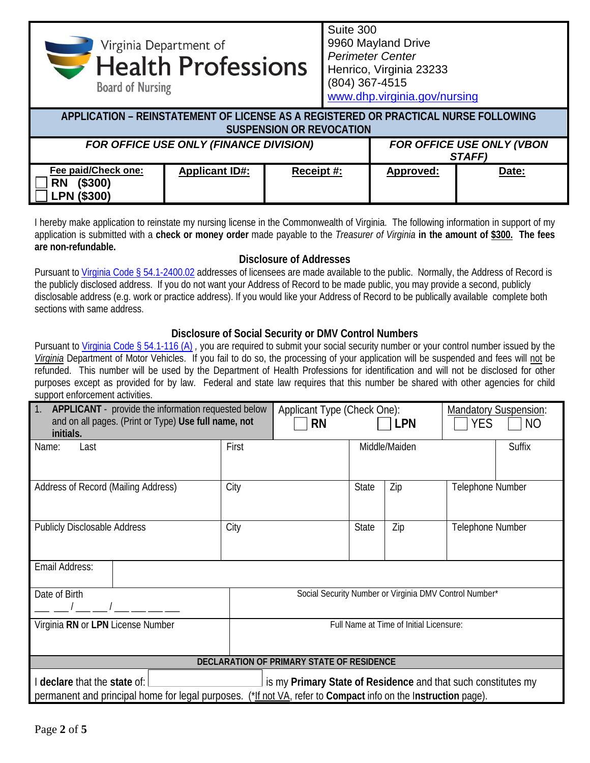Suite 300 *Mealth Professions* 9960 Mayland Drive *Perimeter Center* Henrico, Virginia 23233 (804) 367-4515 **Board of Nursing** 

[www.dhp.virginia.gov/nursing](http://www.dhp.virginia.gov/nursing)

| APPLICATION – REINSTATEMENT OF LICENSE AS A REGISTERED OR PRACTICAL NURSE FOLLOWING<br><b>SUSPENSION OR REVOCATION</b> |                       |            |                                     |       |  |
|------------------------------------------------------------------------------------------------------------------------|-----------------------|------------|-------------------------------------|-------|--|
| FOR OFFICE USE ONLY (FINANCE DIVISION)                                                                                 |                       |            | FOR OFFICE USE ONLY (VBON<br>STAFF) |       |  |
| Fee paid/Check one:<br>(\$300)<br><b>RN</b><br><b>LPN (\$300)</b>                                                      | <b>Applicant ID#:</b> | Receipt #: | Approved:                           | Date: |  |

I hereby make application to reinstate my nursing license in the Commonwealth of Virginia. The following information in support of my application is submitted with a **check or money order** made payable to the *Treasurer of Virginia* **in the amount of \$300. The fees are non-refundable.**

## **Disclosure of Addresses**

Pursuant t[o Virginia Code § 54.1-2400.02](https://law.lis.virginia.gov/vacode/title54.1/chapter24/section54.1-2400.02/) addresses of licensees are made available to the public. Normally, the Address of Record is the publicly disclosed address. If you do not want your Address of Record to be made public, you may provide a second, publicly disclosable address (e.g. work or practice address). If you would like your Address of Record to be publically available complete both sections with same address.

## **Disclosure of Social Security or DMV Control Numbers**

Pursuant to [Virginia Code § 54.1-116 \(A\)](https://law.lis.virginia.gov/vacode/title54.1/chapter1/section54.1-116/), you are required to submit your social security number or your control number issued by the *Virginia* Department of Motor Vehicles. If you fail to do so, the processing of your application will be suspended and fees will not be refunded. This number will be used by the Department of Health Professions for identification and will not be disclosed for other purposes except as provided for by law. Federal and state law requires that this number be shared with other agencies for child support enforcement activities.

| 1.<br>APPLICANT - provide the information requested below<br>and on all pages. (Print or Type) Use full name, not | Applicant Type (Check One):<br><b>RN</b> |                                                        | <b>LPN</b> | YES.          | <b>Mandatory Suspension:</b><br>NO |               |
|-------------------------------------------------------------------------------------------------------------------|------------------------------------------|--------------------------------------------------------|------------|---------------|------------------------------------|---------------|
| initials.                                                                                                         |                                          |                                                        |            |               |                                    |               |
| Name:<br>Last                                                                                                     | First                                    |                                                        |            | Middle/Maiden |                                    | <b>Suffix</b> |
|                                                                                                                   |                                          |                                                        |            |               |                                    |               |
| Address of Record (Mailing Address)                                                                               | City                                     |                                                        |            | Zip           | Telephone Number                   |               |
|                                                                                                                   |                                          |                                                        |            |               |                                    |               |
| <b>Publicly Disclosable Address</b>                                                                               | City                                     |                                                        | State      | Zip           | Telephone Number                   |               |
|                                                                                                                   |                                          |                                                        |            |               |                                    |               |
| Email Address:                                                                                                    |                                          |                                                        |            |               |                                    |               |
| Date of Birth                                                                                                     |                                          |                                                        |            |               |                                    |               |
|                                                                                                                   |                                          | Social Security Number or Virginia DMV Control Number* |            |               |                                    |               |
| Virginia RN or LPN License Number                                                                                 |                                          | Full Name at Time of Initial Licensure:                |            |               |                                    |               |
|                                                                                                                   |                                          |                                                        |            |               |                                    |               |
| DECLARATION OF PRIMARY STATE OF RESIDENCE                                                                         |                                          |                                                        |            |               |                                    |               |
| declare that the state of:<br>is my Primary State of Residence and that such constitutes my                       |                                          |                                                        |            |               |                                    |               |
| permanent and principal home for legal purposes. (*If not VA, refer to Compact info on the Instruction page).     |                                          |                                                        |            |               |                                    |               |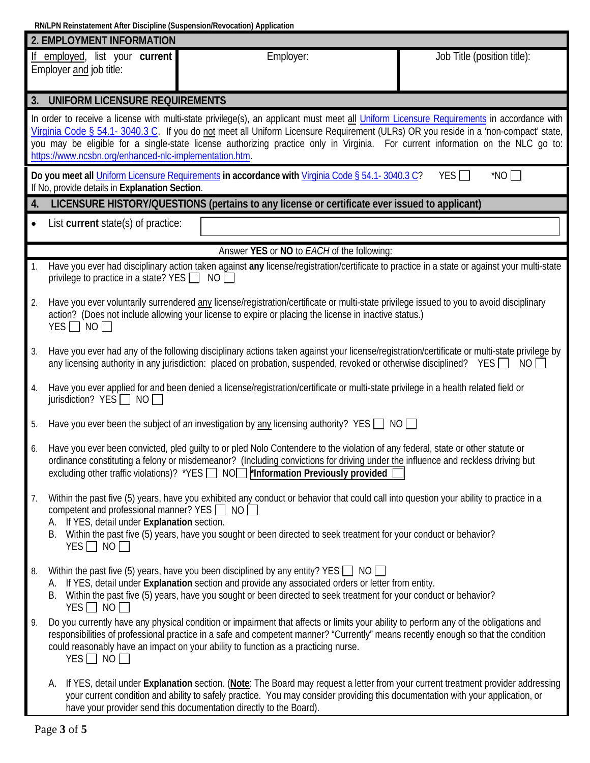**RN/LPN Reinstatement After Discipline (Suspension/Revocation) Application**

|           | 2. EMPLOYMENT INFORMATION                                                                                                                                                                                                                                                                                                                                                                                                                                                    |  |  |  |  |  |
|-----------|------------------------------------------------------------------------------------------------------------------------------------------------------------------------------------------------------------------------------------------------------------------------------------------------------------------------------------------------------------------------------------------------------------------------------------------------------------------------------|--|--|--|--|--|
|           | If employed, list your current<br>Employer:<br>Job Title (position title):<br>Employer and job title:                                                                                                                                                                                                                                                                                                                                                                        |  |  |  |  |  |
| 3.        | UNIFORM LICENSURE REQUIREMENTS                                                                                                                                                                                                                                                                                                                                                                                                                                               |  |  |  |  |  |
|           | In order to receive a license with multi-state privilege(s), an applicant must meet all Uniform Licensure Requirements in accordance with<br>Virginia Code § 54.1-3040.3 C. If you do not meet all Uniform Licensure Requirement (ULRs) OR you reside in a 'non-compact' state,<br>you may be eligible for a single-state license authorizing practice only in Virginia. For current information on the NLC go to:<br>https://www.ncsbn.org/enhanced-nlc-implementation.htm. |  |  |  |  |  |
|           | $*NO$<br>Do you meet all Uniform Licensure Requirements in accordance with Virginia Code § 54.1-3040.3 C?<br>YES $\Box$<br>If No, provide details in Explanation Section.                                                                                                                                                                                                                                                                                                    |  |  |  |  |  |
| 4.        | LICENSURE HISTORY/QUESTIONS (pertains to any license or certificate ever issued to applicant)                                                                                                                                                                                                                                                                                                                                                                                |  |  |  |  |  |
| $\bullet$ | List current state(s) of practice:                                                                                                                                                                                                                                                                                                                                                                                                                                           |  |  |  |  |  |
|           | Answer YES or NO to EACH of the following:                                                                                                                                                                                                                                                                                                                                                                                                                                   |  |  |  |  |  |
|           | Have you ever had disciplinary action taken against any license/registration/certificate to practice in a state or against your multi-state<br>privilege to practice in a state? YES $\Box$<br>NO                                                                                                                                                                                                                                                                            |  |  |  |  |  |
| 2.        | Have you ever voluntarily surrendered any license/registration/certificate or multi-state privilege issued to you to avoid disciplinary<br>action? (Does not include allowing your license to expire or placing the license in inactive status.)<br>$YES$ NO                                                                                                                                                                                                                 |  |  |  |  |  |
| 3.        | Have you ever had any of the following disciplinary actions taken against your license/registration/certificate or multi-state privilege by<br>any licensing authority in any jurisdiction: placed on probation, suspended, revoked or otherwise disciplined? YES NO                                                                                                                                                                                                         |  |  |  |  |  |
| 4.        | Have you ever applied for and been denied a license/registration/certificate or multi-state privilege in a health related field or<br>jurisdiction? $YES \Box NO \Box$                                                                                                                                                                                                                                                                                                       |  |  |  |  |  |
| 5.        | Have you ever been the subject of an investigation by <u>any</u> licensing authority? YES $\Box$ NO $\Box$                                                                                                                                                                                                                                                                                                                                                                   |  |  |  |  |  |
| 6.        | Have you ever been convicted, pled guilty to or pled Nolo Contendere to the violation of any federal, state or other statute or<br>ordinance constituting a felony or misdemeanor? (Including convictions for driving under the influence and reckless driving but<br>excluding other traffic violations)? *YES   NO   *Information Previously provided [                                                                                                                    |  |  |  |  |  |
| 7.        | Within the past five (5) years, have you exhibited any conduct or behavior that could call into question your ability to practice in a<br>competent and professional manner? YES $\Box$ NO $\Box$<br>A. If YES, detail under Explanation section.<br>B. Within the past five (5) years, have you sought or been directed to seek treatment for your conduct or behavior?<br>$YES \Box NO \Box$                                                                               |  |  |  |  |  |
| 8.        | Within the past five (5) years, have you been disciplined by any entity? YES $\Box$ NO $\Box$<br>A. If YES, detail under Explanation section and provide any associated orders or letter from entity.<br>Within the past five (5) years, have you sought or been directed to seek treatment for your conduct or behavior?<br>В.<br>$YES \Box NO \Box$                                                                                                                        |  |  |  |  |  |
| 9.        | Do you currently have any physical condition or impairment that affects or limits your ability to perform any of the obligations and<br>responsibilities of professional practice in a safe and competent manner? "Currently" means recently enough so that the condition<br>could reasonably have an impact on your ability to function as a practicing nurse.<br>$YES \Box NO \Box$                                                                                        |  |  |  |  |  |
|           | If YES, detail under Explanation section. (Note: The Board may request a letter from your current treatment provider addressing<br>А.<br>your current condition and ability to safely practice. You may consider providing this documentation with your application, or<br>have your provider send this documentation directly to the Board).                                                                                                                                |  |  |  |  |  |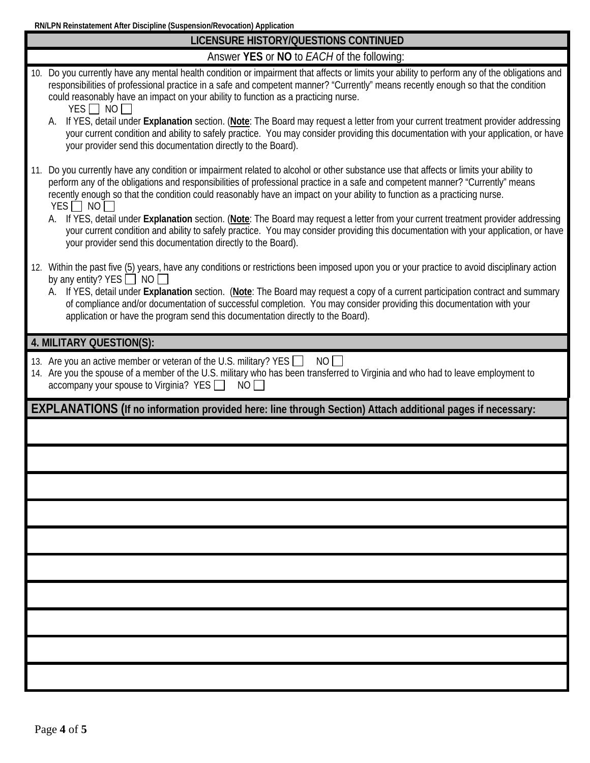**RN/LPN Reinstatement After Discipline (Suspension/Revocation) Application**

| LICENSURE HISTORY/QUESTIONS CONTINUED                                                                                                                                                                                                                                                                                                                                                                            |
|------------------------------------------------------------------------------------------------------------------------------------------------------------------------------------------------------------------------------------------------------------------------------------------------------------------------------------------------------------------------------------------------------------------|
| Answer YES or NO to EACH of the following:                                                                                                                                                                                                                                                                                                                                                                       |
| 10. Do you currently have any mental health condition or impairment that affects or limits your ability to perform any of the obligations and<br>responsibilities of professional practice in a safe and competent manner? "Currently" means recently enough so that the condition<br>could reasonably have an impact on your ability to function as a practicing nurse.<br>$YES$ NO                             |
| A. If YES, detail under Explanation section. (Note: The Board may request a letter from your current treatment provider addressing<br>your current condition and ability to safely practice. You may consider providing this documentation with your application, or have<br>your provider send this documentation directly to the Board).                                                                       |
| 11. Do you currently have any condition or impairment related to alcohol or other substance use that affects or limits your ability to<br>perform any of the obligations and responsibilities of professional practice in a safe and competent manner? "Currently" means<br>recently enough so that the condition could reasonably have an impact on your ability to function as a practicing nurse.<br>$YES$ NO |
| A. If YES, detail under Explanation section. (Note: The Board may request a letter from your current treatment provider addressing<br>your current condition and ability to safely practice. You may consider providing this documentation with your application, or have<br>your provider send this documentation directly to the Board).                                                                       |
| 12. Within the past five (5) years, have any conditions or restrictions been imposed upon you or your practice to avoid disciplinary action<br>by any entity? YES $\Box$ NO                                                                                                                                                                                                                                      |
| A. If YES, detail under Explanation section. (Note: The Board may request a copy of a current participation contract and summary<br>of compliance and/or documentation of successful completion. You may consider providing this documentation with your<br>application or have the program send this documentation directly to the Board).                                                                      |
| 4. MILITARY QUESTION(S):                                                                                                                                                                                                                                                                                                                                                                                         |
| 13. Are you an active member or veteran of the U.S. military? YES<br>NO<br>14. Are you the spouse of a member of the U.S. military who has been transferred to Virginia and who had to leave employment to<br>$\alpha$ accompany your spouse to Virginia? YES $\Box$ NO $\Box$                                                                                                                                   |
| EXPLANATIONS (If no information provided here: line through Section) Attach additional pages if necessary:                                                                                                                                                                                                                                                                                                       |
|                                                                                                                                                                                                                                                                                                                                                                                                                  |
|                                                                                                                                                                                                                                                                                                                                                                                                                  |
|                                                                                                                                                                                                                                                                                                                                                                                                                  |
|                                                                                                                                                                                                                                                                                                                                                                                                                  |
|                                                                                                                                                                                                                                                                                                                                                                                                                  |
|                                                                                                                                                                                                                                                                                                                                                                                                                  |
|                                                                                                                                                                                                                                                                                                                                                                                                                  |
|                                                                                                                                                                                                                                                                                                                                                                                                                  |
|                                                                                                                                                                                                                                                                                                                                                                                                                  |
|                                                                                                                                                                                                                                                                                                                                                                                                                  |